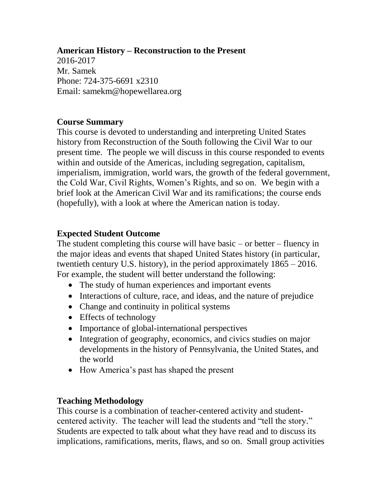#### **American History – Reconstruction to the Present**

2016-2017 Mr. Samek Phone: 724-375-6691 x2310 Email: samekm@hopewellarea.org

### **Course Summary**

This course is devoted to understanding and interpreting United States history from Reconstruction of the South following the Civil War to our present time. The people we will discuss in this course responded to events within and outside of the Americas, including segregation, capitalism, imperialism, immigration, world wars, the growth of the federal government, the Cold War, Civil Rights, Women's Rights, and so on. We begin with a brief look at the American Civil War and its ramifications; the course ends (hopefully), with a look at where the American nation is today.

### **Expected Student Outcome**

The student completing this course will have basic – or better – fluency in the major ideas and events that shaped United States history (in particular, twentieth century U.S. history), in the period approximately 1865 – 2016. For example, the student will better understand the following:

- The study of human experiences and important events
- Interactions of culture, race, and ideas, and the nature of prejudice
- Change and continuity in political systems
- Effects of technology
- Importance of global-international perspectives
- Integration of geography, economics, and civics studies on major developments in the history of Pennsylvania, the United States, and the world
- How America's past has shaped the present

### **Teaching Methodology**

This course is a combination of teacher-centered activity and studentcentered activity. The teacher will lead the students and "tell the story." Students are expected to talk about what they have read and to discuss its implications, ramifications, merits, flaws, and so on. Small group activities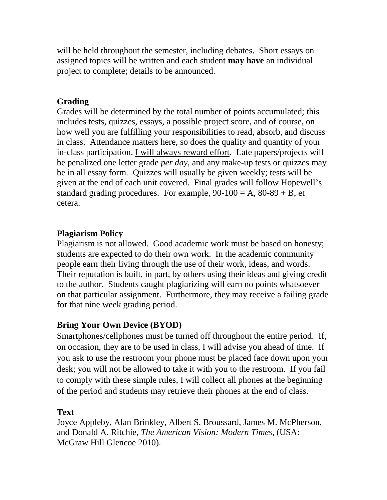will be held throughout the semester, including debates. Short essays on assigned topics will be written and each student **may have** an individual project to complete; details to be announced.

## **Grading**

Grades will be determined by the total number of points accumulated; this includes tests, quizzes, essays, a possible project score, and of course, on how well you are fulfilling your responsibilities to read, absorb, and discuss in class. Attendance matters here, so does the quality and quantity of your in-class participation. I will always reward effort. Late papers/projects will be penalized one letter grade *per day,* and any make-up tests or quizzes may be in all essay form. Quizzes will usually be given weekly; tests will be given at the end of each unit covered. Final grades will follow Hopewell's standard grading procedures. For example,  $90-100 = A$ ,  $80-89 + B$ , et cetera.

## **Plagiarism Policy**

Plagiarism is not allowed. Good academic work must be based on honesty; students are expected to do their own work. In the academic community people earn their living through the use of their work, ideas, and words. Their reputation is built, in part, by others using their ideas and giving credit to the author. Students caught plagiarizing will earn no points whatsoever on that particular assignment. Furthermore, they may receive a failing grade for that nine week grading period.

# **Bring Your Own Device (BYOD)**

Smartphones/cellphones must be turned off throughout the entire period. If, on occasion, they are to be used in class, I will advise you ahead of time. If you ask to use the restroom your phone must be placed face down upon your desk; you will not be allowed to take it with you to the restroom. If you fail to comply with these simple rules, I will collect all phones at the beginning of the period and students may retrieve their phones at the end of class.

# **Text**

Joyce Appleby, Alan Brinkley, Albert S. Broussard, James M. McPherson, and Donald A. Ritchie, *The American Vision: Modern Times*, (USA: McGraw Hill Glencoe 2010).